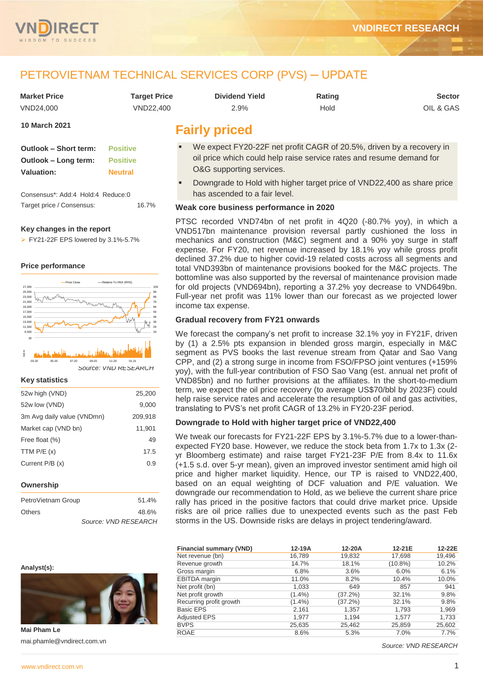

# PETROVIETNAM TECHNICAL SERVICES CORP (PVS) ─ UPDATE

| <b>Market Price</b> | Tarqet Price | <b>Dividend Yield</b> | Rating | Sector    |
|---------------------|--------------|-----------------------|--------|-----------|
| VND24.000           | VND22.400    | 2.9%                  | Hold   | OIL & GAS |

**10 March 2021**

| <b>Outlook - Short term:</b> | <b>Positive</b> |
|------------------------------|-----------------|
| Outlook – Long term:         | <b>Positive</b> |
| <b>Valuation:</b>            | <b>Neutral</b>  |

Consensus\*: Add:4 Hold:4 Reduce:0 Target price / Consensus: 16.7%

#### **Key changes in the report**

 $\triangleright$  FY21-22F EPS lowered by 3.1%-5.7%

#### **Price performance**



*Source: VND RESEARCH*

#### **Key statistics**

| 52w high (VND)             | 25.200  |
|----------------------------|---------|
| 52w low (VND)              | 9,000   |
| 3m Avg daily value (VNDmn) | 209,918 |
| Market cap (VND bn)        | 11,901  |
| Free float (%)             | 49      |
| TTM $P/E(x)$               | 17.5    |
| Current P/B (x)            | 0.9     |
|                            |         |
| Ownership                  |         |

| PetroVietnam Group | 51.4%                |
|--------------------|----------------------|
| Others             | 48.6%                |
|                    | Source: VND RESEARCH |

#### **Analyst(s):**



**Mai Pham Le** mai.phamle@vndirect.com.vn

# **Fairly priced**

- We expect FY20-22F net profit CAGR of 20.5%, driven by a recovery in oil price which could help raise service rates and resume demand for O&G supporting services.
- Downgrade to Hold with higher target price of VND22,400 as share price has ascended to a fair level.

#### **Weak core business performance in 2020**

PTSC recorded VND74bn of net profit in 4Q20 (-80.7% yoy), in which a VND517bn maintenance provision reversal partly cushioned the loss in mechanics and construction (M&C) segment and a 90% yoy surge in staff expense. For FY20, net revenue increased by 18.1% yoy while gross profit declined 37.2% due to higher covid-19 related costs across all segments and total VND393bn of maintenance provisions booked for the M&C projects. The bottomline was also supported by the reversal of maintenance provision made for old projects (VND694bn), reporting a 37.2% yoy decrease to VND649bn. Full-year net profit was 11% lower than our forecast as we projected lower income tax expense.

#### **Gradual recovery from FY21 onwards**

We forecast the company's net profit to increase 32.1% yoy in FY21F, driven by (1) a 2.5% pts expansion in blended gross margin, especially in M&C segment as PVS books the last revenue stream from Qatar and Sao Vang CPP, and (2) a strong surge in income from FSO/FPSO joint ventures (+159% yoy), with the full-year contribution of FSO Sao Vang (est. annual net profit of VND85bn) and no further provisions at the affiliates. In the short-to-medium term, we expect the oil price recovery (to average US\$70/bbl by 2023F) could help raise service rates and accelerate the resumption of oil and gas activities, translating to PVS's net profit CAGR of 13.2% in FY20-23F period.

#### **Downgrade to Hold with higher target price of VND22,400**

We tweak our forecasts for FY21-22F EPS by 3.1%-5.7% due to a lower-thanexpected FY20 base. However, we reduce the stock beta from 1.7x to 1.3x (2 yr Bloomberg estimate) and raise target FY21-23F P/E from 8.4x to 11.6x (+1.5 s.d. over 5-yr mean), given an improved investor sentiment amid high oil price and higher market liquidity. Hence, our TP is raised to VND22,400, based on an equal weighting of DCF valuation and P/E valuation. We downgrade our recommendation to Hold, as we believe the current share price rally has priced in the positive factors that could drive market price. Upside risks are oil price rallies due to unexpected events such as the past Feb storms in the US. Downside risks are delays in project tendering/award.

| <b>Financial summary (VND)</b> | 12-19A    | 12-20A     | 12-21E     | 12-22E |
|--------------------------------|-----------|------------|------------|--------|
| Net revenue (bn)               | 16,789    | 19,832     | 17,698     | 19,496 |
| Revenue growth                 | 14.7%     | 18.1%      | $(10.8\%)$ | 10.2%  |
| Gross margin                   | 6.8%      | 3.6%       | 6.0%       | 6.1%   |
| <b>EBITDA</b> margin           | 11.0%     | 8.2%       | 10.4%      | 10.0%  |
| Net profit (bn)                | 1,033     | 649        | 857        | 941    |
| Net profit growth              | $(1.4\%)$ | $(37.2\%)$ | 32.1%      | 9.8%   |
| Recurring profit growth        | $(1.4\%)$ | (37.2%)    | 32.1%      | 9.8%   |
| <b>Basic EPS</b>               | 2,161     | 1,357      | 1,793      | 1,969  |
| <b>Adjusted EPS</b>            | 1.977     | 1,194      | 1,577      | 1,733  |
| <b>BVPS</b>                    | 25,635    | 25,462     | 25,859     | 25,602 |
| <b>ROAE</b>                    | 8.6%      | 5.3%       | 7.0%       | 7.7%   |

*Source: VND RESEARCH*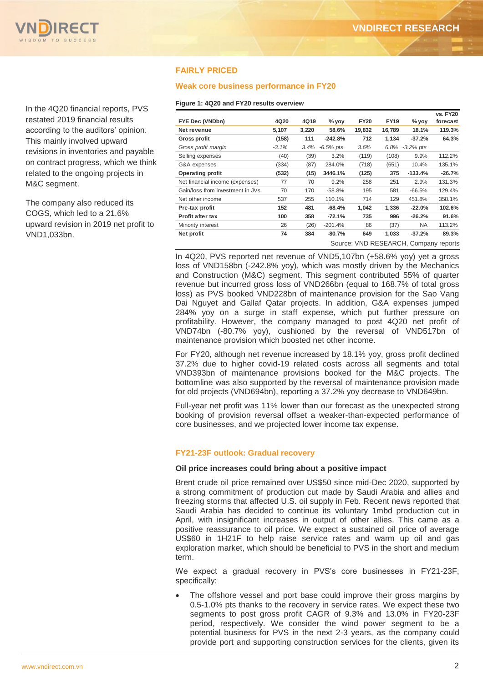

In the 4Q20 financial reports, PVS restated 2019 financial results according to the auditors' opinion. This mainly involved upward revisions in inventories and payable on contract progress, which we think related to the ongoing projects in M&C segment.

The company also reduced its COGS, which led to a 21.6% upward revision in 2019 net profit to VND1,033bn.

## **FAIRLY PRICED**

#### **Weak core business performance in FY20**

#### **Figure 1: 4Q20 and FY20 results overview**

|                                       |          |       |              |             |             |                | <b>vs. FY20</b> |
|---------------------------------------|----------|-------|--------------|-------------|-------------|----------------|-----------------|
| FYE Dec (VNDbn)                       | 4Q20     | 4Q19  | $%$ yoy      | <b>FY20</b> | <b>FY19</b> | $%$ yoy        | forecast        |
| Net revenue                           | 5,107    | 3,220 | 58.6%        | 19,832      | 16,789      | 18.1%          | 119.3%          |
| <b>Gross profit</b>                   | (158)    | 111   | $-242.8%$    | 712         | 1,134       | $-37.2%$       | 64.3%           |
| Gross profit margin                   | $-3.1\%$ | 3.4%  | $-6.5\%$ pts | 3.6%        |             | 6.8% -3.2% pts |                 |
| Selling expenses                      | (40)     | (39)  | 3.2%         | (119)       | (108)       | 9.9%           | 112.2%          |
| G&A expenses                          | (334)    | (87)  | 284.0%       | (718)       | (651)       | 10.4%          | 135.1%          |
| Operating profit                      | (532)    | (15)  | 3446.1%      | (125)       | 375         | $-133.4%$      | $-26.7%$        |
| Net financial income (expenses)       | 77       | 70    | 9.2%         | 258         | 251         | 2.9%           | 131.3%          |
| Gain/loss from investment in JVs      | 70       | 170   | $-58.8%$     | 195         | 581         | $-66.5%$       | 129.4%          |
| Net other income                      | 537      | 255   | 110.1%       | 714         | 129         | 451.8%         | 358.1%          |
| Pre-tax profit                        | 152      | 481   | $-68.4%$     | 1,042       | 1,336       | $-22.0%$       | 102.6%          |
| <b>Profit after tax</b>               | 100      | 358   | $-72.1%$     | 735         | 996         | $-26.2%$       | 91.6%           |
| Minority interest                     | 26       | (26)  | $-201.4%$    | 86          | (37)        | <b>NA</b>      | 113.2%          |
| Net profit                            | 74       | 384   | $-80.7%$     | 649         | 1,033       | $-37.2%$       | 89.3%           |
| Source: VND RESEARCH, Company reports |          |       |              |             |             |                |                 |

In 4Q20, PVS reported net revenue of VND5,107bn (+58.6% yoy) yet a gross loss of VND158bn (-242.8% yoy), which was mostly driven by the Mechanics and Construction (M&C) segment. This segment contributed 55% of quarter revenue but incurred gross loss of VND266bn (equal to 168.7% of total gross loss) as PVS booked VND228bn of maintenance provision for the Sao Vang Dai Nguyet and Gallaf Qatar projects. In addition, G&A expenses jumped 284% yoy on a surge in staff expense, which put further pressure on profitability. However, the company managed to post 4Q20 net profit of VND74bn (-80.7% yoy), cushioned by the reversal of VND517bn of maintenance provision which boosted net other income.

For FY20, although net revenue increased by 18.1% yoy, gross profit declined 37.2% due to higher covid-19 related costs across all segments and total VND393bn of maintenance provisions booked for the M&C projects. The bottomline was also supported by the reversal of maintenance provision made for old projects (VND694bn), reporting a 37.2% yoy decrease to VND649bn.

Full-year net profit was 11% lower than our forecast as the unexpected strong booking of provision reversal offset a weaker-than-expected performance of core businesses, and we projected lower income tax expense.

#### **FY21-23F outlook: Gradual recovery**

#### **Oil price increases could bring about a positive impact**

Brent crude oil price remained over US\$50 since mid-Dec 2020, supported by a strong commitment of production cut made by Saudi Arabia and allies and freezing storms that affected U.S. oil supply in Feb. Recent news reported that Saudi Arabia has decided to continue its voluntary 1mbd production cut in April, with insignificant increases in output of other allies. This came as a positive reassurance to oil price. We expect a sustained oil price of average US\$60 in 1H21F to help raise service rates and warm up oil and gas exploration market, which should be beneficial to PVS in the short and medium term.

We expect a gradual recovery in PVS's core businesses in FY21-23F, specifically:

• The offshore vessel and port base could improve their gross margins by 0.5-1.0% pts thanks to the recovery in service rates. We expect these two segments to post gross profit CAGR of 9.3% and 13.0% in FY20-23F period, respectively. We consider the wind power segment to be a potential business for PVS in the next 2-3 years, as the company could provide port and supporting construction services for the clients, given its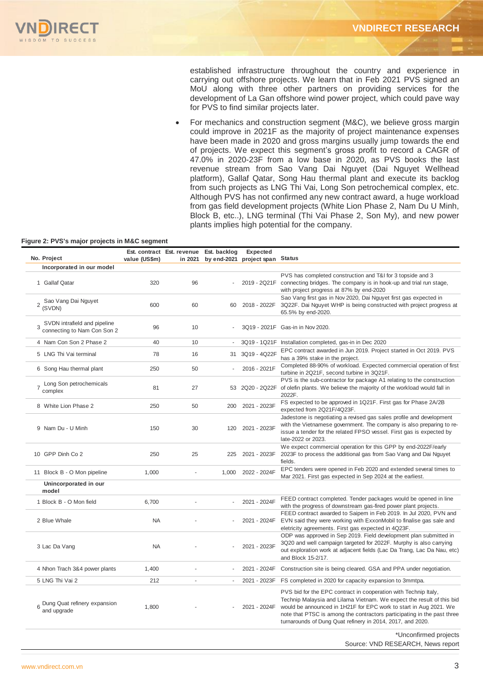

established infrastructure throughout the country and experience in carrying out offshore projects. We learn that in Feb 2021 PVS signed an MoU along with three other partners on providing services for the development of La Gan offshore wind power project, which could pave way for PVS to find similar projects later.

 For mechanics and construction segment (M&C), we believe gross margin could improve in 2021F as the majority of project maintenance expenses have been made in 2020 and gross margins usually jump towards the end of projects. We expect this segment's gross profit to record a CAGR of 47.0% in 2020-23F from a low base in 2020, as PVS books the last revenue stream from Sao Vang Dai Nguyet (Dai Nguyet Wellhead platform), Gallaf Qatar, Song Hau thermal plant and execute its backlog from such projects as LNG Thi Vai, Long Son petrochemical complex, etc. Although PVS has not confirmed any new contract award, a huge workload from gas field development projects (White Lion Phase 2, Nam Du U Minh, Block B, etc..), LNG terminal (Thi Vai Phase 2, Son My), and new power plants implies high potential for the company.

#### **Figure 2: PVS's major projects in M&C segment**

| No. Project                                                      |               | Est. contract Est. revenue | Est. backlog | Expected                        |                                                                                                                                                                                                                                                                                                                                                        |
|------------------------------------------------------------------|---------------|----------------------------|--------------|---------------------------------|--------------------------------------------------------------------------------------------------------------------------------------------------------------------------------------------------------------------------------------------------------------------------------------------------------------------------------------------------------|
|                                                                  | value (US\$m) | in 2021                    |              | by end-2021 project span Status |                                                                                                                                                                                                                                                                                                                                                        |
| Incorporated in our model<br>1 Gallaf Qatar                      | 320           | 96                         |              |                                 | PVS has completed construction and T&I for 3 topside and 3<br>2019 - 2Q21F connecting bridges. The company is in hook-up and trial run stage,                                                                                                                                                                                                          |
| Sao Vang Dai Nguyet<br>$\overline{2}$<br>(SVDN)                  | 600           | 60                         | 60           | 2018 - 2022F                    | with project progress at 87% by end-2020<br>Sao Vang first gas in Nov 2020, Dai Nguyet first gas expected in<br>3Q22F. Dai Nguyet WHP is being constructed with project progress at<br>65.5% by end-2020.                                                                                                                                              |
| SVDN intrafield and pipeline<br>3<br>connecting to Nam Con Son 2 | 96            | 10                         |              |                                 | 3Q19 - 2021F Gas-in in Nov 2020.                                                                                                                                                                                                                                                                                                                       |
| 4 Nam Con Son 2 Phase 2                                          | 40            | 10                         |              |                                 | 3Q19 - 1Q21F Installation completed, gas-in in Dec 2020                                                                                                                                                                                                                                                                                                |
| 5 LNG Thi Vai terminal                                           | 78            | 16                         |              | 31 3Q19 - 4Q22F                 | EPC contract awarded in Jun 2019. Project started in Oct 2019. PVS<br>has a 39% stake in the project.                                                                                                                                                                                                                                                  |
| 6 Song Hau thermal plant                                         | 250           | 50                         |              | 2016 - 2021F                    | Completed 88-90% of workload. Expected commercial operation of first<br>turbine in 2Q21F, second turbine in 3Q21F.                                                                                                                                                                                                                                     |
| Long Son petrochemicals<br>complex                               | 81            | 27                         | 53           |                                 | PVS is the sub-contractor for package A1 relating to the construction<br>2Q20 - 2Q22F of olefin plants. We believe the majority of the workload would fall in<br>2022F.                                                                                                                                                                                |
| 8 White Lion Phase 2                                             | 250           | 50                         | 200          | 2021 - 2023F                    | FS expected to be approved in 1Q21F. First gas for Phase 2A/2B<br>expected from 2Q21F/4Q23F.                                                                                                                                                                                                                                                           |
| 9 Nam Du - U Minh                                                | 150           | 30                         | 120          | 2021 - 2023F                    | Jadestone is negotiating a revised gas sales profile and development<br>with the Vietnamese government. The company is also preparing to re-<br>issue a tender for the related FPSO vessel. First gas is expected by<br>late-2022 or 2023.                                                                                                             |
| 10 GPP Dinh Co 2                                                 | 250           | 25                         | 225          | 2021 - 2023F                    | We expect commercial operation for this GPP by end-2022F/early<br>2023F to process the additional gas from Sao Vang and Dai Nguyet<br>fields.                                                                                                                                                                                                          |
| 11 Block B - O Mon pipeline                                      | 1,000         | L.                         | 1,000        | 2022 - 2024F                    | EPC tenders were opened in Feb 2020 and extended several times to<br>Mar 2021. First gas expected in Sep 2024 at the earliest.                                                                                                                                                                                                                         |
| Unincorporated in our<br>model                                   |               |                            |              |                                 |                                                                                                                                                                                                                                                                                                                                                        |
| 1 Block B - O Mon field                                          | 6,700         |                            |              | 2021 - 2024F                    | FEED contract completed. Tender packages would be opened in line<br>with the progress of downstream gas-fired power plant projects.                                                                                                                                                                                                                    |
| 2 Blue Whale                                                     | <b>NA</b>     |                            |              | 2021 - 2024F                    | FEED contract awarded to Saipem in Feb 2019. In Jul 2020, PVN and<br>EVN said they were working with ExxonMobil to finalise gas sale and<br>eletricity agreements. First gas expected in 4Q23F.                                                                                                                                                        |
| 3 Lac Da Vang                                                    | <b>NA</b>     |                            |              | 2021 - 2023F                    | ODP was approved in Sep 2019. Field development plan submitted in<br>3Q20 and well campaign targeted for 2022F. Murphy is also carrying<br>out exploration work at adjacent fields (Lac Da Trang, Lac Da Nau, etc)<br>and Block 15-2/17.                                                                                                               |
| 4 Nhon Trach 3&4 power plants                                    | 1,400         |                            |              | 2021 - 2024F                    | Construction site is being cleared. GSA and PPA under negotiation.                                                                                                                                                                                                                                                                                     |
| 5 LNG Thi Vai 2                                                  | 212           | ÷                          | ÷.           | 2021 - 2023F                    | FS completed in 2020 for capacity expansion to 3mmtpa.                                                                                                                                                                                                                                                                                                 |
| 6 Dung Quat refinery expansion<br>and upgrade                    | 1,800         |                            |              | 2021 - 2024F                    | PVS bid for the EPC contract in cooperation with Technip Italy,<br>Technip Malaysia and Lilama Vietnam. We expect the result of this bid<br>would be announced in 1H21F for EPC work to start in Aug 2021. We<br>note that PTSC is among the contractors participating in the past three<br>turnarounds of Dung Quat refinery in 2014, 2017, and 2020. |
|                                                                  |               |                            |              |                                 | *Unconfirmed projects                                                                                                                                                                                                                                                                                                                                  |

Source: VND RESEARCH, News report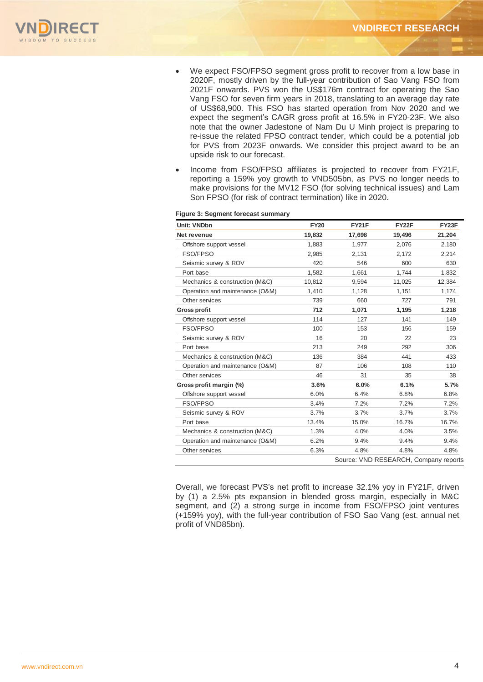

- We expect FSO/FPSO segment gross profit to recover from a low base in 2020F, mostly driven by the full-year contribution of Sao Vang FSO from 2021F onwards. PVS won the US\$176m contract for operating the Sao Vang FSO for seven firm years in 2018, translating to an average day rate of US\$68,900. This FSO has started operation from Nov 2020 and we expect the segment's CAGR gross profit at 16.5% in FY20-23F. We also note that the owner Jadestone of Nam Du U Minh project is preparing to re-issue the related FPSO contract tender, which could be a potential job for PVS from 2023F onwards. We consider this project award to be an upside risk to our forecast.
- Income from FSO/FPSO affiliates is projected to recover from FY21F, reporting a 159% yoy growth to VND505bn, as PVS no longer needs to make provisions for the MV12 FSO (for solving technical issues) and Lam Son FPSO (for risk of contract termination) like in 2020.

| Unit: VNDbn                     | <b>FY20</b> | <b>FY21F</b>                          | FY22F  | FY23F  |
|---------------------------------|-------------|---------------------------------------|--------|--------|
| Net revenue                     | 19.832      | 17,698                                | 19.496 | 21,204 |
| Offshore support vessel         | 1,883       | 1,977                                 | 2,076  | 2,180  |
| FSO/FPSO                        | 2,985       | 2,131                                 | 2,172  | 2,214  |
| Seismic survey & ROV            | 420         | 546                                   | 600    | 630    |
| Port base                       | 1,582       | 1,661                                 | 1,744  | 1,832  |
| Mechanics & construction (M&C)  | 10,812      | 9,594                                 | 11,025 | 12,384 |
| Operation and maintenance (O&M) | 1,410       | 1,128                                 | 1,151  | 1,174  |
| Other services                  | 739         | 660                                   | 727    | 791    |
| <b>Gross profit</b>             | 712         | 1,071                                 | 1,195  | 1,218  |
| Offshore support vessel         | 114         | 127                                   | 141    | 149    |
| FSO/FPSO                        | 100         | 153                                   | 156    | 159    |
| Seismic survey & ROV            | 16          | 20                                    | 22     | 23     |
| Port base                       | 213         | 249                                   | 292    | 306    |
| Mechanics & construction (M&C)  | 136         | 384                                   | 441    | 433    |
| Operation and maintenance (O&M) | 87          | 106                                   | 108    | 110    |
| Other services                  | 46          | 31                                    | 35     | 38     |
| Gross profit margin (%)         | 3.6%        | 6.0%                                  | 6.1%   | 5.7%   |
| Offshore support vessel         | 6.0%        | 6.4%                                  | 6.8%   | 6.8%   |
| FSO/FPSO                        | 3.4%        | 7.2%                                  | 7.2%   | 7.2%   |
| Seismic survey & ROV            | 3.7%        | 3.7%                                  | 3.7%   | 3.7%   |
| Port base                       | 13.4%       | 15.0%                                 | 16.7%  | 16.7%  |
| Mechanics & construction (M&C)  | 1.3%        | 4.0%                                  | 4.0%   | 3.5%   |
| Operation and maintenance (O&M) | 6.2%        | 9.4%                                  | 9.4%   | 9.4%   |
| Other services                  | 6.3%        | 4.8%                                  | 4.8%   | 4.8%   |
|                                 |             | Source: VND RESEARCH, Company reports |        |        |

#### **Figure 3: Segment forecast summary**

Overall, we forecast PVS's net profit to increase 32.1% yoy in FY21F, driven by (1) a 2.5% pts expansion in blended gross margin, especially in M&C segment, and (2) a strong surge in income from FSO/FPSO joint ventures (+159% yoy), with the full-year contribution of FSO Sao Vang (est. annual net profit of VND85bn).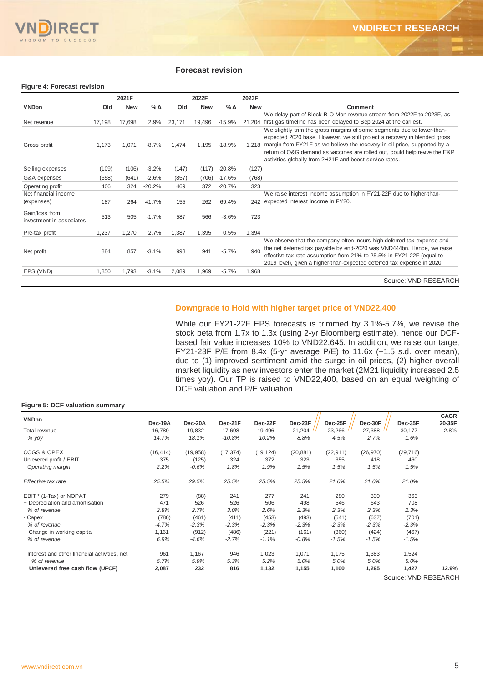

#### **Forecast revision**

#### **Figure 4: Forecast revision**

|                                            |        | 2021F      |          |        | 2022F      |              | 2023F      |                                                                                                                                                                                                                                                                                                                                                                           |
|--------------------------------------------|--------|------------|----------|--------|------------|--------------|------------|---------------------------------------------------------------------------------------------------------------------------------------------------------------------------------------------------------------------------------------------------------------------------------------------------------------------------------------------------------------------------|
| <b>VNDbn</b>                               | Old    | <b>New</b> | %Δ       | Old    | <b>New</b> | $%$ $\Delta$ | <b>New</b> | Comment                                                                                                                                                                                                                                                                                                                                                                   |
|                                            |        |            |          |        |            |              |            | We delay part of Block B O Mon revenue stream from 2022F to 2023F, as                                                                                                                                                                                                                                                                                                     |
| Net revenue                                | 17,198 | 17,698     | 2.9%     | 23.171 | 19,496     | $-15.9%$     | 21.204     | first gas timeline has been delayed to Sep 2024 at the earliest.                                                                                                                                                                                                                                                                                                          |
| Gross profit                               | 1,173  | 1,071      | $-8.7%$  | 1,474  | 1.195      | $-18.9%$     | 1.218      | We slightly trim the gross margins of some segments due to lower-than-<br>expected 2020 base. However, we still project a recovery in blended gross<br>margin from FY21F as we believe the recovery in oil price, supported by a<br>return of O&G demand as vaccines are rolled out, could help revive the E&P<br>activities globally from 2H21F and boost service rates. |
| Selling expenses                           | (109)  | (106)      | $-3.2%$  | (147)  | (117)      | $-20.8%$     | (127)      |                                                                                                                                                                                                                                                                                                                                                                           |
| G&A expenses                               | (658)  | (641)      | $-2.6%$  | (857)  | (706)      | $-17.6%$     | (768)      |                                                                                                                                                                                                                                                                                                                                                                           |
| Operating profit                           | 406    | 324        | $-20.2%$ | 469    | 372        | $-20.7%$     | 323        |                                                                                                                                                                                                                                                                                                                                                                           |
| Net financial income<br>(expenses)         | 187    | 264        | 41.7%    | 155    | 262        | 69.4%        |            | We raise interest income assumption in FY21-22F due to higher-than-<br>242 expected interest income in FY20.                                                                                                                                                                                                                                                              |
| Gain/loss from<br>investment in associates | 513    | 505        | $-1.7%$  | 587    | 566        | $-3.6%$      | 723        |                                                                                                                                                                                                                                                                                                                                                                           |
| Pre-tax profit                             | 1,237  | 1,270      | 2.7%     | 1,387  | 1,395      | 0.5%         | 1.394      |                                                                                                                                                                                                                                                                                                                                                                           |
| Net profit                                 | 884    | 857        | $-3.1%$  | 998    | 941        | $-5.7%$      | 940        | We observe that the company often incurs high deferred tax expense and<br>the net deferred tax payable by end-2020 was VND444bn. Hence, we raise<br>effective tax rate assumption from 21% to 25.5% in FY21-22F (equal to<br>2019 level), given a higher-than-expected deferred tax expense in 2020.                                                                      |
| EPS (VND)                                  | 1,850  | 1,793      | $-3.1%$  | 2,089  | 1,969      | $-5.7%$      | 1.968      |                                                                                                                                                                                                                                                                                                                                                                           |
|                                            |        |            |          |        |            |              |            | Source: VND RESEARCH                                                                                                                                                                                                                                                                                                                                                      |

#### **Downgrade to Hold with higher target price of VND22,400**

While our FY21-22F EPS forecasts is trimmed by 3.1%-5.7%, we revise the stock beta from 1.7x to 1.3x (using 2-yr Bloomberg estimate), hence our DCFbased fair value increases 10% to VND22,645. In addition, we raise our target FY21-23F P/E from 8.4x (5-yr average P/E) to 11.6x (+1.5 s.d. over mean), due to (1) improved sentiment amid the surge in oil prices, (2) higher overall market liquidity as new investors enter the market (2M21 liquidity increased 2.5 times yoy). Our TP is raised to VND22,400, based on an equal weighting of DCF valuation and P/E valuation.

#### **Figure 5: DCF valuation summary**

| <b>VNDbn</b>                                 |           |           |           |           |           |           |           |                      | <b>CAGR</b> |
|----------------------------------------------|-----------|-----------|-----------|-----------|-----------|-----------|-----------|----------------------|-------------|
|                                              | Dec-19A   | Dec-20A   | Dec-21F   | Dec-22F   | Dec-23F   | Dec-25F   | Dec-30F   | Dec-35F              | 20-35F      |
| Total revenue                                | 16,789    | 19,832    | 17,698    | 19,496    | 21,204    | 23,266    | 27,388    | 30,177               | 2.8%        |
| % yoy                                        | 14.7%     | 18.1%     | $-10.8%$  | 10.2%     | 8.8%      | 4.5%      | 2.7%      | 1.6%                 |             |
| COGS & OPEX                                  | (16, 414) | (19, 958) | (17, 374) | (19, 124) | (20, 881) | (22, 911) | (26, 970) | (29, 716)            |             |
| Unlevered profit / EBIT                      | 375       | (125)     | 324       | 372       | 323       | 355       | 418       | 460                  |             |
| Operating margin                             | 2.2%      | $-0.6%$   | 1.8%      | 1.9%      | 1.5%      | 1.5%      | 1.5%      | 1.5%                 |             |
| Effective tax rate                           | 25.5%     | 29.5%     | 25.5%     | 25.5%     | 25.5%     | 21.0%     | 21.0%     | 21.0%                |             |
| EBIT * (1-Tax) or NOPAT                      | 279       | (88)      | 241       | 277       | 241       | 280       | 330       | 363                  |             |
| + Depreciation and amortisation              | 471       | 526       | 526       | 506       | 498       | 546       | 643       | 708                  |             |
| % of revenue                                 | 2.8%      | 2.7%      | 3.0%      | 2.6%      | 2.3%      | 2.3%      | 2.3%      | 2.3%                 |             |
| - Capex                                      | (786)     | (461)     | (411)     | (453)     | (493)     | (541)     | (637)     | (701)                |             |
| % of revenue                                 | $-4.7%$   | $-2.3%$   | $-2.3%$   | $-2.3%$   | $-2.3%$   | $-2.3%$   | $-2.3%$   | $-2.3%$              |             |
| + Change in working capital                  | 1,161     | (912)     | (486)     | (221)     | (161)     | (360)     | (424)     | (467)                |             |
| % of revenue                                 | 6.9%      | $-4.6%$   | $-2.7%$   | $-1.1%$   | $-0.8%$   | $-1.5%$   | $-1.5%$   | $-1.5%$              |             |
| Interest and other financial activities, net | 961       | 1,167     | 946       | 1,023     | 1,071     | 1,175     | 1,383     | 1,524                |             |
| % of revenue                                 | 5.7%      | 5.9%      | 5.3%      | 5.2%      | 5.0%      | 5.0%      | 5.0%      | 5.0%                 |             |
| Unlevered free cash flow (UFCF)              | 2,087     | 232       | 816       | 1,132     | 1,155     | 1,100     | 1,295     | 1,427                | 12.9%       |
|                                              |           |           |           |           |           |           |           | Source: VND RESEARCH |             |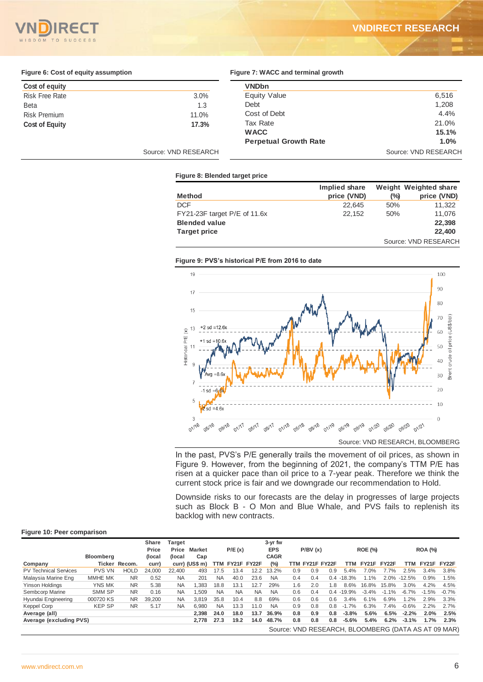

### **VNDIRECT RESEARCH**

#### **Figure 6: Cost of equity assumption**

|  |  | Figure 7: WACC and terminal growth |  |
|--|--|------------------------------------|--|

| Cost of equity        |                      | <b>VNDbn</b>                 |                      |
|-----------------------|----------------------|------------------------------|----------------------|
| <b>Risk Free Rate</b> | 3.0%                 | Equity Value                 | 6,516                |
| <b>Beta</b>           | 1.3                  | Debt                         | 1,208                |
| <b>Risk Premium</b>   | 11.0%                | Cost of Debt                 | 4.4%                 |
| <b>Cost of Equity</b> | 17.3%                | Tax Rate                     | 21.0%                |
|                       |                      | <b>WACC</b>                  | 15.1%                |
|                       |                      | <b>Perpetual Growth Rate</b> | 1.0%                 |
|                       | Source: VND RESEARCH |                              | Source: VND RESEARCH |

#### **Figure 8: Blended target price**

|                              | Implied share |               | Weight Weighted share |
|------------------------------|---------------|---------------|-----------------------|
| <b>Method</b>                | price (VND)   | $\frac{1}{2}$ | price (VND)           |
| <b>DCF</b>                   | 22.645        | 50%           | 11.322                |
| FY21-23F target P/E of 11.6x | 22.152        | 50%           | 11.076                |
| <b>Blended value</b>         |               |               | 22,398                |
| <b>Target price</b>          |               |               | 22,400                |
|                              |               |               | Source: VND RESEARCH  |

#### **Figure 9: PVS's historical P/E from 2016 to date**



In the past, PVS's P/E generally trails the movement of oil prices, as shown in Figure 9. However, from the beginning of 2021, the company's TTM P/E has risen at a quicker pace than oil price to a 7-year peak. Therefore we think the current stock price is fair and we downgrade our recommendation to Hold.

Downside risks to our forecasts are the delay in progresses of large projects such as Block B - O Mon and Blue Whale, and PVS fails to replenish its backlog with new contracts.

#### **Figure 10: Peer comparison**

|                              |                  |               | Share  | Target    |                  |           |                 |           | 3-yr fw     |     |                 |     |               |                |         |          |             |                                                     |
|------------------------------|------------------|---------------|--------|-----------|------------------|-----------|-----------------|-----------|-------------|-----|-----------------|-----|---------------|----------------|---------|----------|-------------|-----------------------------------------------------|
|                              |                  |               | Price  | Price     | <b>Market</b>    |           | P/E(x)          |           | <b>EPS</b>  |     | P/BV(x)         |     |               | <b>ROE (%)</b> |         |          | ROA (%)     |                                                     |
|                              | <b>Bloomberg</b> |               | (local | (local    | Cap              |           |                 |           | <b>CAGR</b> |     |                 |     |               |                |         |          |             |                                                     |
| Company                      |                  | Ticker Recom. | curr)  |           | $curr)$ (US\$ m) |           | TTM FY21F FY22F |           | (%)         |     | TTM FY21F FY22F |     | TTM           | FY21F FY22F    |         | TTM      | FY21F FY22F |                                                     |
| <b>PV Technical Services</b> | <b>PVS VN</b>    | <b>HOLD</b>   | 24.000 | 22.400    | 493              | 17.5      | 13.4            | 12.2      | 13.2%       | 0.9 | 0.9             | 0.9 | 5.4%          | 7.0%           | 7.7%    | 2.5%     | 3.4%        | 3.8%                                                |
| Malaysia Marine Eng          | MMHE MK          | <b>NR</b>     | 0.52   | NA        | 201              | <b>NA</b> | 40.0            | 23.6      | NA          | 0.4 | 0.4             | 0.4 | $-18.3%$      | $1.1\%$        | 2.0%    | $-12.5%$ | 0.9%        | 1.5%                                                |
| Yinson Holdings              | YNS MK           | <b>NR</b>     | 5.38   | <b>NA</b> | .383             | 18.8      | 13.1            | 12.7      | 29%         | 1.6 | 2.0             | .8  | 8.6%          | 16.8%          | 15.8%   | 3.0%     | 4.2%        | 4.5%                                                |
| Sembcorp Marine              | SMM SP           | <b>NR</b>     | 0.16   | ΝA        | .509             | <b>NA</b> | <b>NA</b>       | <b>NA</b> | <b>NA</b>   | 0.6 | 0.4             |     | $0.4 - 19.9%$ | $-3.4%$        | $-1.1%$ | $-6.7%$  | $-1.5%$     | $-0.7%$                                             |
| Hyundai Engineering          | 000720 KS        | <b>NR</b>     | 39.200 | <b>NA</b> | 3.819            | 35.8      | 10.4            | 8.8       | 69%         | 0.6 | 0.6             | 0.6 | 3.4%          | 6.1%           | 6.9%    | 1.2%     | 2.9%        | 3.3%                                                |
| Keppel Corp                  | <b>KEP SP</b>    | <b>NR</b>     | 5.17   | ΝA        | 6,980            | <b>NA</b> | 13.3            | 11.0      | <b>NA</b>   | 0.9 | 0.8             | 0.8 | $.7\%$<br>-1  | 6.3%           | 7.4%    | $-0.6%$  | 2.2%        | 2.7%                                                |
| Average (all)                |                  |               |        |           | 2.398            | 24.0      | 18.0            | 13.7      | 36.9%       | 0.8 | 0.9             | 0.8 | $-3.8%$       | 5.6%           | 6.5%    | $-2.2%$  | 2.0%        | 2.5%                                                |
| Average (excluding PVS)      |                  |               |        |           | 2.778            | 27.3      | 19.2            | 14.0      | 48.7%       | 0.8 | 0.8             | 0.8 | $-5.6%$       | 5.4%           | 6.2%    | $-3.1%$  | 1.7%        | 2.3%                                                |
|                              |                  |               |        |           |                  |           |                 |           |             |     |                 |     |               |                |         |          |             | Source: VND RESEARCH, BLOOMBERG (DATA AS AT 09 MAR) |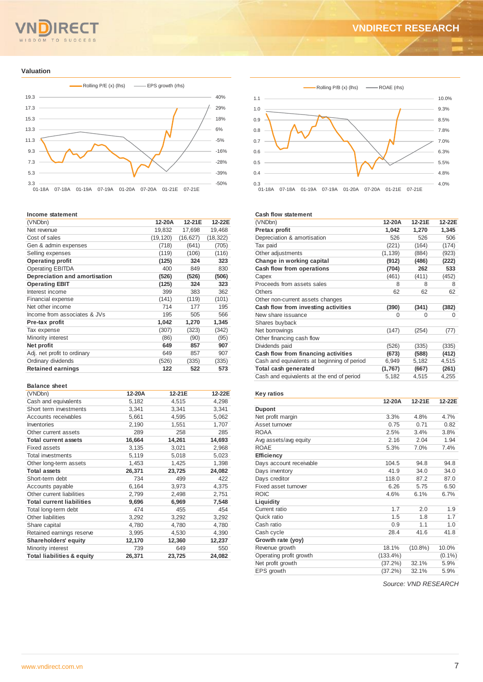# SDOM TO SUCCESS

## **VNDIRECT RESEARCH**

#### **Valuation**



#### **Income statement**

| (VNDbn)                       | 12-20A    | 12-21E    | 12-22E    |
|-------------------------------|-----------|-----------|-----------|
| Net revenue                   | 19,832    | 17,698    | 19,468    |
| Cost of sales                 | (19, 120) | (16, 627) | (18, 322) |
| Gen & admin expenses          | (718)     | (641)     | (705)     |
| Selling expenses              | (119)     | (106)     | (116)     |
| <b>Operating profit</b>       | (125)     | 324       | 323       |
| <b>Operating EBITDA</b>       | 400       | 849       | 830       |
| Depreciation and amortisation | (526)     | (526)     | (506)     |
| <b>Operating EBIT</b>         | (125)     | 324       | 323       |
| Interest income               | 399       | 383       | 362       |
| <b>Financial expense</b>      | (141)     | (119)     | (101)     |
| Net other income              | 714       | 177       | 195       |
| Income from associates & JVs  | 195       | 505       | 566       |
| Pre-tax profit                | 1,042     | 1,270     | 1,345     |
| Tax expense                   | (307)     | (323)     | (342)     |
| Minority interest             | (86)      | (90)      | (95)      |
| Net profit                    | 649       | 857       | 907       |
| Adj. net profit to ordinary   | 649       | 857       | 907       |
| Ordinary dividends            | (526)     | (335)     | (335)     |
| <b>Retained earnings</b>      | 122       | 522       | 573       |

#### **Balance sheet**

| (VNDbn)                               | 12-20A | 12-21E | 12-22E |
|---------------------------------------|--------|--------|--------|
| Cash and equivalents                  | 5,182  | 4,515  | 4,298  |
| Short term investments                | 3,341  | 3,341  | 3,341  |
| Accounts receivables                  | 5,661  | 4,595  | 5,062  |
| Inventories                           | 2,190  | 1,551  | 1,707  |
| Other current assets                  | 289    | 258    | 285    |
| <b>Total current assets</b>           | 16,664 | 14,261 | 14,693 |
| <b>Fixed assets</b>                   | 3,135  | 3,021  | 2,968  |
| Total investments                     | 5,119  | 5,018  | 5,023  |
| Other long-term assets                | 1,453  | 1,425  | 1,398  |
| <b>Total assets</b>                   | 26,371 | 23,725 | 24,082 |
| Short-term debt                       | 734    | 499    | 422    |
| Accounts payable                      | 6,164  | 3,973  | 4,375  |
| Other current liabilities             | 2,799  | 2,498  | 2,751  |
| <b>Total current liabilities</b>      | 9,696  | 6,969  | 7,548  |
| Total long-term debt                  | 474    | 455    | 454    |
| Other liabilities                     | 3,292  | 3,292  | 3,292  |
| Share capital                         | 4,780  | 4,780  | 4,780  |
| Retained earnings reserve             | 3,995  | 4,530  | 4,390  |
| <b>Shareholders' equity</b>           | 12,170 | 12,360 | 12,237 |
| Minority interest                     | 739    | 649    | 550    |
| <b>Total liabilities &amp; equity</b> | 26,371 | 23,725 | 24,082 |



#### **Cash flow statement**

| (VNDbn)                                     | 12-20A   | 12-21E | 12-22E |
|---------------------------------------------|----------|--------|--------|
| Pretax profit                               | 1,042    | 1,270  | 1,345  |
| Depreciation & amortisation                 | 526      | 526    | 506    |
| Tax paid                                    | (221)    | (164)  | (174)  |
| Other adjustments                           | (1, 139) | (884)  | (923)  |
| Change in working capital                   | (912)    | (486)  | (222)  |
| Cash flow from operations                   | (704)    | 262    | 533    |
| Capex                                       | (461)    | (411)  | (452)  |
| Proceeds from assets sales                  | 8        | 8      | 8      |
| Others                                      | 62       | 62     | 62     |
| Other non-current assets changes            |          |        |        |
| Cash flow from investing activities         | (390)    | (341)  | (382)  |
| New share issuance                          | $\Omega$ | 0      | 0      |
| Shares buyback                              |          |        |        |
| Net borrowings                              | (147)    | (254)  | (77)   |
| Other financing cash flow                   |          |        |        |
| Dividends paid                              | (526)    | (335)  | (335)  |
| Cash flow from financing activities         | (673)    | (588)  | (412)  |
| Cash and equivalents at beginning of period | 6,949    | 5,182  | 4,515  |
| Total cash generated                        | (1,767)  | (667)  | (261)  |
| Cash and equivalents at the end of period   | 5,182    | 4,515  | 4,255  |
|                                             |          |        |        |

#### **Key ratios**

|                         | 12-20A      | 12-21E     | 12-22E    |
|-------------------------|-------------|------------|-----------|
| <b>Dupont</b>           |             |            |           |
| Net profit margin       | 3.3%        | 4.8%       | 4.7%      |
| Asset turnover          | 0.75        | 0.71       | 0.82      |
| ROAA                    | 2.5%        | 3.4%       | 3.8%      |
| Avg assets/avg equity   | 2.16        | 2.04       | 1.94      |
| <b>ROAE</b>             | 5.3%        | 7.0%       | 7.4%      |
| <b>Efficiency</b>       |             |            |           |
| Days account receivable | 104.5       | 94.8       | 94.8      |
| Days inventory          | 41.9        | 34.0       | 34.0      |
| Days creditor           | 118.0       | 87.2       | 87.0      |
| Fixed asset turnover    | 6.26        | 5.75       | 6.50      |
| <b>ROIC</b>             | 4.6%        | 6.1%       | 6.7%      |
| Liquidity               |             |            |           |
| Current ratio           | 1.7         | 2.0        | 1.9       |
| Quick ratio             | 1.5         | 1.8        | 1.7       |
| Cash ratio              | 0.9         | 1.1        | 1.0       |
| Cash cycle              | 28.4        | 41.6       | 41.8      |
| Growth rate (yoy)       |             |            |           |
| Revenue growth          | 18.1%       | $(10.8\%)$ | 10.0%     |
| Operating profit growth | $(133.4\%)$ |            | $(0.1\%)$ |
| Net profit growth       | (37.2%)     | 32.1%      | 5.9%      |
| EPS growth              | $(37.2\%)$  | 32.1%      | 5.9%      |
|                         |             |            |           |

*Source: VND RESEARCH*